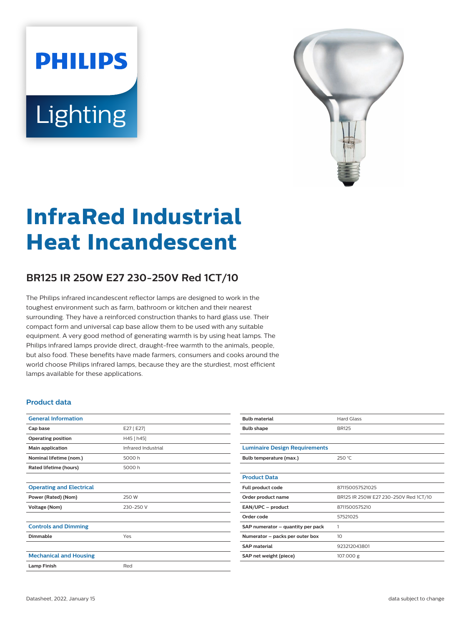# **PHILIPS** Lighting



# **InfraRed Industrial Heat Incandescent**

## **BR125 IR 250W E27 230-250V Red 1CT/10**

The Philips infrared incandescent reflector lamps are designed to work in the toughest environment such as farm, bathroom or kitchen and their nearest surrounding. They have a reinforced construction thanks to hard glass use. Their compact form and universal cap base allow them to be used with any suitable equipment. A very good method of generating warmth is by using heat lamps. The Philips infrared lamps provide direct, draught-free warmth to the animals, people, but also food. These benefits have made farmers, consumers and cooks around the world choose Philips infrared lamps, because they are the sturdiest, most efficient lamps available for these applications.

#### **Product data**

| <b>General Information</b>      |                     |
|---------------------------------|---------------------|
| Cap base                        | E27 [ E27]          |
| <b>Operating position</b>       | H45 [h45]           |
| Main application                | Infrared Industrial |
| Nominal lifetime (nom.)         | 5000 h              |
| Rated lifetime (hours)          | 5000 h              |
|                                 |                     |
| <b>Operating and Electrical</b> |                     |
| Power (Rated) (Nom)             | 250 W               |
| Voltage (Nom)                   | 230-250 V           |
|                                 |                     |
| <b>Controls and Dimming</b>     |                     |
| Dimmable                        | Yes                 |
|                                 |                     |
| <b>Mechanical and Housing</b>   |                     |
| <b>Lamp Finish</b>              | Red                 |

| <b>Bulb material</b>                 | <b>Hard Glass</b>                     |
|--------------------------------------|---------------------------------------|
| <b>Bulb shape</b>                    | <b>BR125</b>                          |
|                                      |                                       |
| <b>Luminaire Design Requirements</b> |                                       |
| Bulb temperature (max.)              | 250 °C                                |
|                                      |                                       |
| <b>Product Data</b>                  |                                       |
| Full product code                    | 871150057521025                       |
| Order product name                   | BR125 IR 250W E27 230-250V Red 1CT/10 |
| EAN/UPC - product                    | 8711500575210                         |
| Order code                           | 57521025                              |
| SAP numerator - quantity per pack    | 1                                     |
| Numerator - packs per outer box      | 10 <sup>2</sup>                       |
| <b>SAP</b> material                  | 923212043801                          |
| SAP net weight (piece)               | 107.000 g                             |
|                                      |                                       |